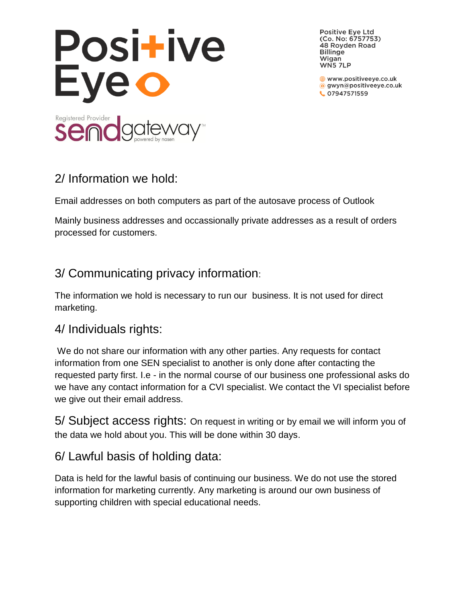

**Positive Eye Ltd** (Co. No: 6757753) 48 Royden Road **Billinge** Wigan WN5 7LP

www.positiveeye.co.uk @ gwyn@positiveeye.co.uk C 07947571559

## 2/ Information we hold:

Email addresses on both computers as part of the autosave process of Outlook

Mainly business addresses and occassionally private addresses as a result of orders processed for customers.

## 3/ Communicating privacy information:

The information we hold is necessary to run our business. It is not used for direct marketing.

#### 4/ Individuals rights:

We do not share our information with any other parties. Any requests for contact information from one SEN specialist to another is only done after contacting the requested party first. I.e - in the normal course of our business one professional asks do we have any contact information for a CVI specialist. We contact the VI specialist before we give out their email address.

5/ Subject access rights: On request in writing or by email we will inform you of the data we hold about you. This will be done within 30 days.

# 6/ Lawful basis of holding data:

Data is held for the lawful basis of continuing our business. We do not use the stored information for marketing currently. Any marketing is around our own business of supporting children with special educational needs.